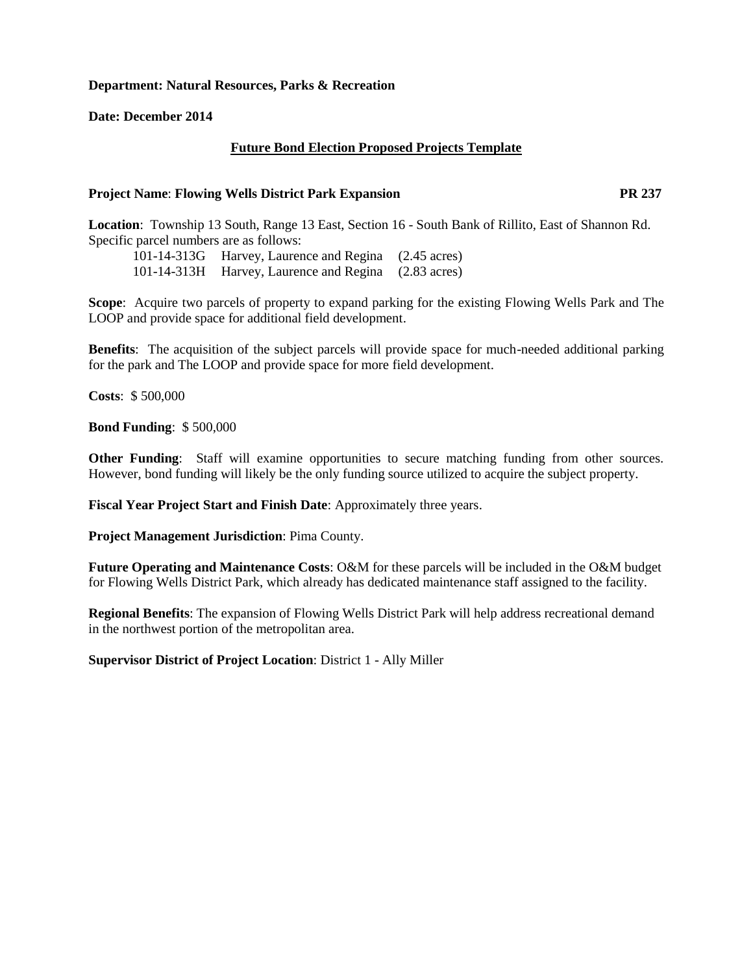## **Department: Natural Resources, Parks & Recreation**

**Date: December 2014**

## **Future Bond Election Proposed Projects Template**

## **Project Name**: **Flowing Wells District Park Expansion PR 237**

**Location**: Township 13 South, Range 13 East, Section 16 - South Bank of Rillito, East of Shannon Rd. Specific parcel numbers are as follows:

101-14-313G Harvey, Laurence and Regina (2.45 acres) 101-14-313H Harvey, Laurence and Regina (2.83 acres)

**Scope**: Acquire two parcels of property to expand parking for the existing Flowing Wells Park and The LOOP and provide space for additional field development.

**Benefits**: The acquisition of the subject parcels will provide space for much-needed additional parking for the park and The LOOP and provide space for more field development.

**Costs**: \$ 500,000

**Bond Funding**: \$ 500,000

**Other Funding**: Staff will examine opportunities to secure matching funding from other sources. However, bond funding will likely be the only funding source utilized to acquire the subject property.

**Fiscal Year Project Start and Finish Date**: Approximately three years.

**Project Management Jurisdiction**: Pima County.

**Future Operating and Maintenance Costs**: O&M for these parcels will be included in the O&M budget for Flowing Wells District Park, which already has dedicated maintenance staff assigned to the facility.

**Regional Benefits**: The expansion of Flowing Wells District Park will help address recreational demand in the northwest portion of the metropolitan area.

**Supervisor District of Project Location**: District 1 - Ally Miller